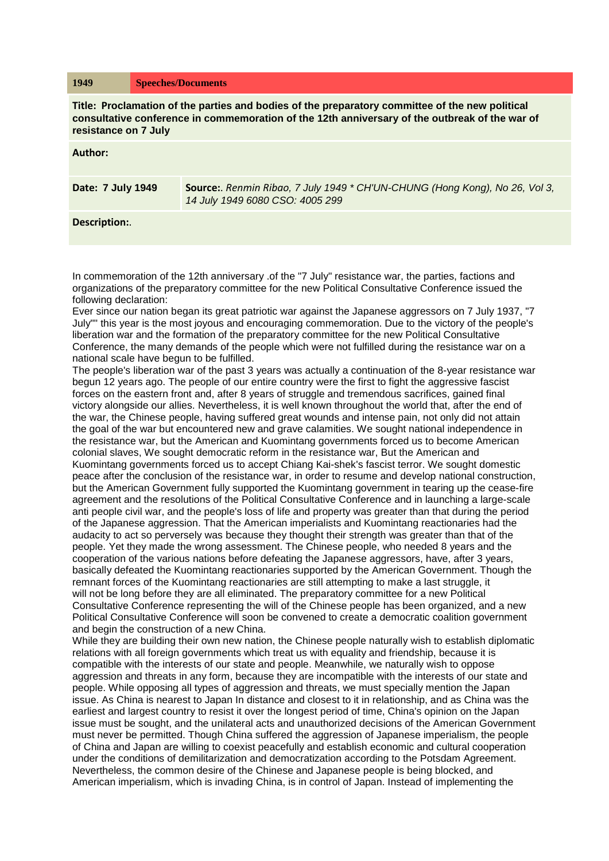## **1949 Speeches/Documents**

**Title: Proclamation of the parties and bodies of the preparatory committee of the new political consultative conference in commemoration of the 12th anniversary of the outbreak of the war of resistance on 7 July**

## **Author:**

| Date: 7 July 1949 | Source:. Renmin Ribao, 7 July 1949 * CH'UN-CHUNG (Hong Kong), No 26, Vol 3,<br>14 July 1949 6080 CSO: 4005 299 |
|-------------------|----------------------------------------------------------------------------------------------------------------|
|                   |                                                                                                                |

## **Description:**.

In commemoration of the 12th anniversary .of the "7 July" resistance war, the parties, factions and organizations of the preparatory committee for the new Political Consultative Conference issued the following declaration:

Ever since our nation began its great patriotic war against the Japanese aggressors on 7 July 1937, "7 July"" this year is the most joyous and encouraging commemoration. Due to the victory of the people's liberation war and the formation of the preparatory committee for the new Political Consultative Conference, the many demands of the people which were not fulfilled during the resistance war on a national scale have begun to be fulfilled.

The people's liberation war of the past 3 years was actually a continuation of the 8-year resistance war begun 12 years ago. The people of our entire country were the first to fight the aggressive fascist forces on the eastern front and, after 8 years of struggle and tremendous sacrifices, gained final victory alongside our allies. Nevertheless, it is well known throughout the world that, after the end of the war, the Chinese people, having suffered great wounds and intense pain, not only did not attain the goal of the war but encountered new and grave calamities. We sought national independence in the resistance war, but the American and Kuomintang governments forced us to become American colonial slaves, We sought democratic reform in the resistance war, But the American and Kuomintang governments forced us to accept Chiang Kai-shek's fascist terror. We sought domestic peace after the conclusion of the resistance war, in order to resume and develop national construction, but the American Government fully supported the Kuomintang government in tearing up the cease-fire agreement and the resolutions of the Political Consultative Conference and in launching a large-scale anti people civil war, and the people's loss of life and property was greater than that during the period of the Japanese aggression. That the American imperialists and Kuomintang reactionaries had the audacity to act so perversely was because they thought their strength was greater than that of the people. Yet they made the wrong assessment. The Chinese people, who needed 8 years and the cooperation of the various nations before defeating the Japanese aggressors, have, after 3 years, basically defeated the Kuomintang reactionaries supported by the American Government. Though the remnant forces of the Kuomintang reactionaries are still attempting to make a last struggle, it will not be long before they are all eliminated. The preparatory committee for a new Political Consultative Conference representing the will of the Chinese people has been organized, and a new Political Consultative Conference will soon be convened to create a democratic coalition government and begin the construction of a new China.

While they are building their own new nation, the Chinese people naturally wish to establish diplomatic relations with all foreign governments which treat us with equality and friendship, because it is compatible with the interests of our state and people. Meanwhile, we naturally wish to oppose aggression and threats in any form, because they are incompatible with the interests of our state and people. While opposing all types of aggression and threats, we must specially mention the Japan issue. As China is nearest to Japan In distance and closest to it in relationship, and as China was the earliest and largest country to resist it over the longest period of time, China's opinion on the Japan issue must be sought, and the unilateral acts and unauthorized decisions of the American Government must never be permitted. Though China suffered the aggression of Japanese imperialism, the people of China and Japan are willing to coexist peacefully and establish economic and cultural cooperation under the conditions of demilitarization and democratization according to the Potsdam Agreement. Nevertheless, the common desire of the Chinese and Japanese people is being blocked, and American imperialism, which is invading China, is in control of Japan. Instead of implementing the